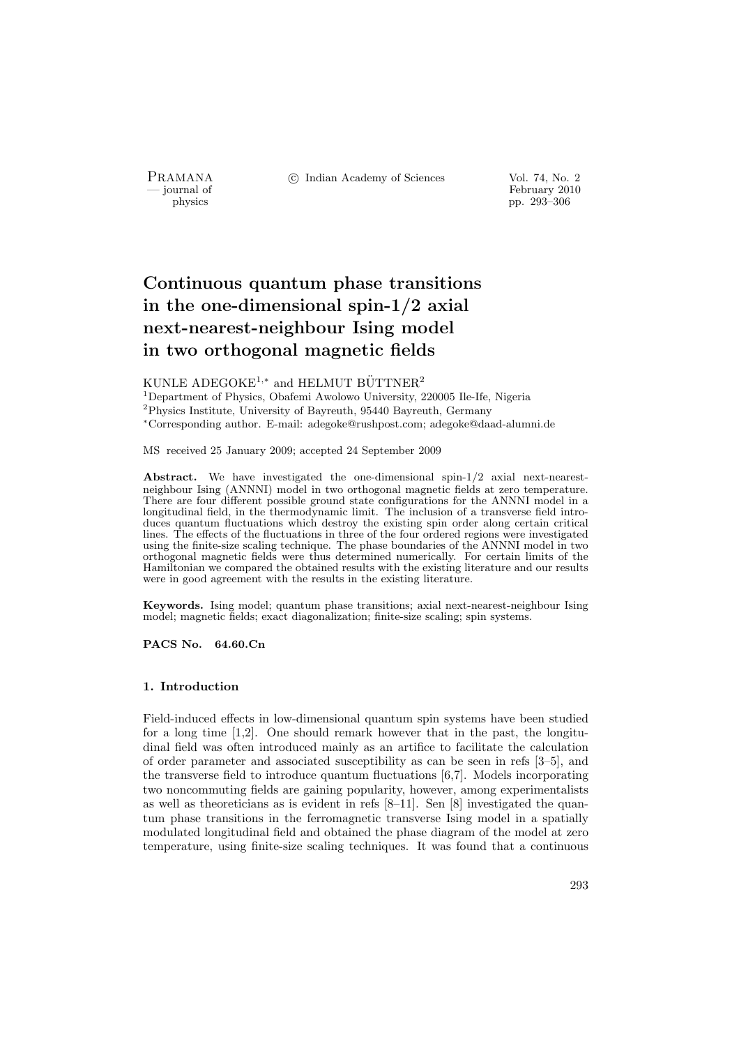PRAMANA °c Indian Academy of Sciences Vol. 74, No. 2

 $\frac{1}{2}$  by since the physics that  $\frac{1}{2}$  is the contract of  $\frac{1}{2}$  February 2010 physics pp. 293–306

# Continuous quantum phase transitions in the one-dimensional spin-1/2 axial next-nearest-neighbour Ising model in two orthogonal magnetic fields

KUNLE ADEGOKE<sup>1,\*</sup> and HELMUT BÜTTNER<sup>2</sup>

<sup>1</sup>Department of Physics, Obafemi Awolowo University, 220005 Ile-Ife, Nigeria <sup>2</sup>Physics Institute, University of Bayreuth, 95440 Bayreuth, Germany <sup>∗</sup>Corresponding author. E-mail: adegoke@rushpost.com; adegoke@daad-alumni.de

MS received 25 January 2009; accepted 24 September 2009

Abstract. We have investigated the one-dimensional spin-1/2 axial next-nearestneighbour Ising (ANNNI) model in two orthogonal magnetic fields at zero temperature. There are four different possible ground state configurations for the ANNNI model in a longitudinal field, in the thermodynamic limit. The inclusion of a transverse field introduces quantum fluctuations which destroy the existing spin order along certain critical lines. The effects of the fluctuations in three of the four ordered regions were investigated using the finite-size scaling technique. The phase boundaries of the ANNNI model in two orthogonal magnetic fields were thus determined numerically. For certain limits of the Hamiltonian we compared the obtained results with the existing literature and our results were in good agreement with the results in the existing literature.

Keywords. Ising model; quantum phase transitions; axial next-nearest-neighbour Ising model; magnetic fields; exact diagonalization; finite-size scaling; spin systems.

PACS No. 64.60.Cn

# 1. Introduction

Field-induced effects in low-dimensional quantum spin systems have been studied for a long time [1,2]. One should remark however that in the past, the longitudinal field was often introduced mainly as an artifice to facilitate the calculation of order parameter and associated susceptibility as can be seen in refs [3–5], and the transverse field to introduce quantum fluctuations [6,7]. Models incorporating two noncommuting fields are gaining popularity, however, among experimentalists as well as theoreticians as is evident in refs [8–11]. Sen [8] investigated the quantum phase transitions in the ferromagnetic transverse Ising model in a spatially modulated longitudinal field and obtained the phase diagram of the model at zero temperature, using finite-size scaling techniques. It was found that a continuous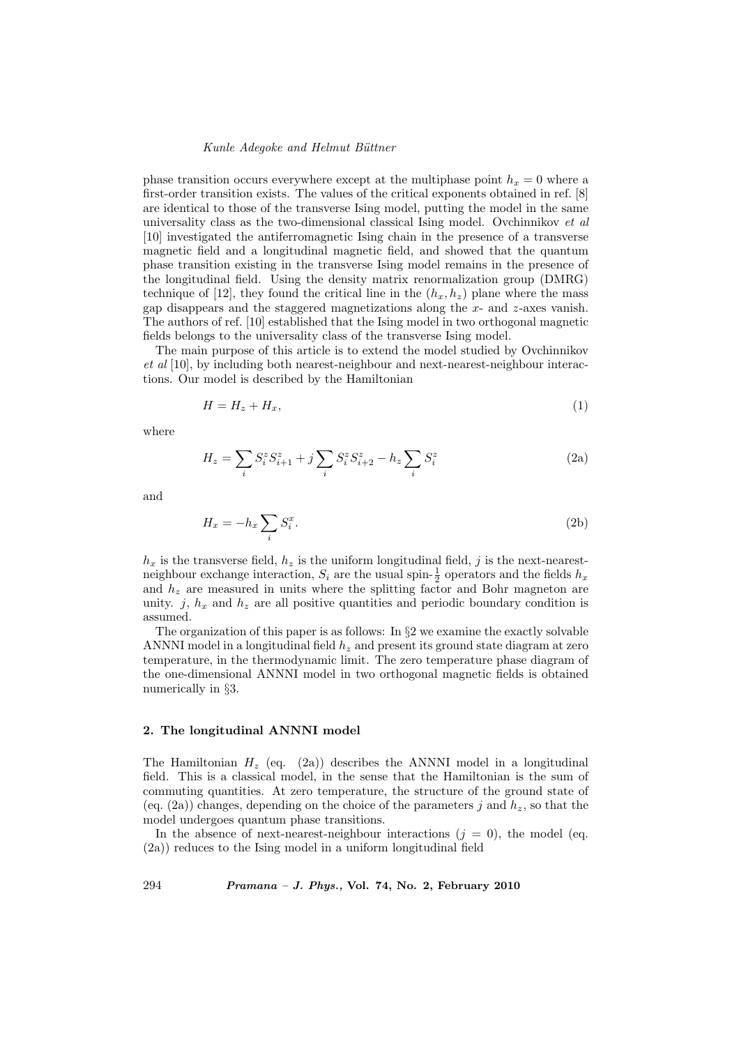phase transition occurs everywhere except at the multiphase point  $h_x = 0$  where a first-order transition exists. The values of the critical exponents obtained in ref. [8] are identical to those of the transverse Ising model, putting the model in the same universality class as the two-dimensional classical Ising model. Ovchinnikov  $et$  al [10] investigated the antiferromagnetic Ising chain in the presence of a transverse magnetic field and a longitudinal magnetic field, and showed that the quantum phase transition existing in the transverse Ising model remains in the presence of the longitudinal field. Using the density matrix renormalization group (DMRG) technique of [12], they found the critical line in the  $(h_x, h_z)$  plane where the mass gap disappears and the staggered magnetizations along the  $x$ - and  $z$ -axes vanish. The authors of ref. [10] established that the Ising model in two orthogonal magnetic fields belongs to the universality class of the transverse Ising model.

The main purpose of this article is to extend the model studied by Ovchinnikov et al [10], by including both nearest-neighbour and next-nearest-neighbour interactions. Our model is described by the Hamiltonian

$$
H = H_z + H_x,\tag{1}
$$

where

$$
H_z = \sum_i S_i^z S_{i+1}^z + j \sum_i S_i^z S_{i+2}^z - h_z \sum_i S_i^z \tag{2a}
$$

and

$$
H_x = -h_x \sum_i S_i^x. \tag{2b}
$$

 $h_x$  is the transverse field,  $h_z$  is the uniform longitudinal field, j is the next-nearestneighbour exchange interaction,  $S_i$  are the usual spin- $\frac{1}{2}$  operators and the fields  $h_x$ and  $h<sub>z</sub>$  are measured in units where the splitting factor and Bohr magneton are unity. j,  $h_x$  and  $h_z$  are all positive quantities and periodic boundary condition is assumed.

The organization of this paper is as follows: In §2 we examine the exactly solvable ANNNI model in a longitudinal field  $h<sub>z</sub>$  and present its ground state diagram at zero temperature, in the thermodynamic limit. The zero temperature phase diagram of the one-dimensional ANNNI model in two orthogonal magnetic fields is obtained numerically in §3.

# 2. The longitudinal ANNNI model

The Hamiltonian  $H_z$  (eq. (2a)) describes the ANNNI model in a longitudinal field. This is a classical model, in the sense that the Hamiltonian is the sum of commuting quantities. At zero temperature, the structure of the ground state of (eq. (2a)) changes, depending on the choice of the parameters j and  $h_z$ , so that the model undergoes quantum phase transitions.

In the absence of next-nearest-neighbour interactions  $(j = 0)$ , the model (eq. (2a)) reduces to the Ising model in a uniform longitudinal field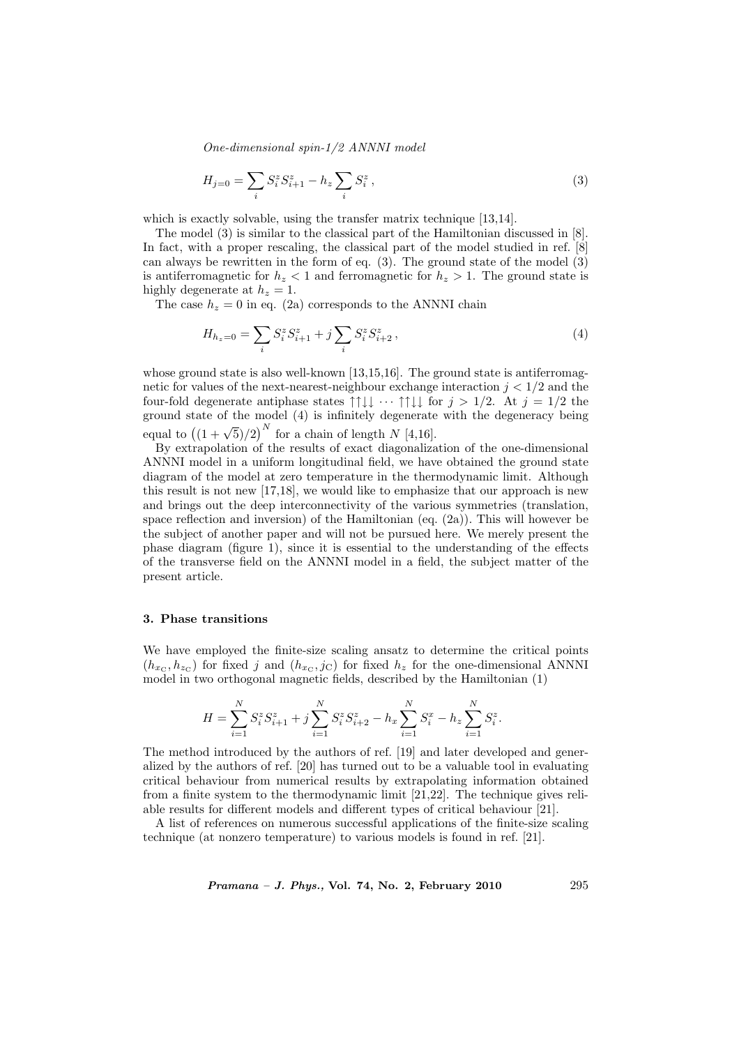One-dimensional spin-1/2 ANNNI model

$$
H_{j=0} = \sum_{i} S_i^z S_{i+1}^z - h_z \sum_{i} S_i^z , \qquad (3)
$$

which is exactly solvable, using the transfer matrix technique [13,14].

The model (3) is similar to the classical part of the Hamiltonian discussed in [8]. In fact, with a proper rescaling, the classical part of the model studied in ref. [8] can always be rewritten in the form of eq.  $(3)$ . The ground state of the model  $(3)$ is antiferromagnetic for  $h<sub>z</sub> < 1$  and ferromagnetic for  $h<sub>z</sub> > 1$ . The ground state is highly degenerate at  $h_z = 1$ .

The case  $h_z = 0$  in eq. (2a) corresponds to the ANNNI chain

$$
H_{h_z=0} = \sum_i S_i^z S_{i+1}^z + j \sum_i S_i^z S_{i+2}^z,
$$
\n(4)

whose ground state is also well-known  $[13,15,16]$ . The ground state is antiferromagnetic for values of the next-nearest-neighbour exchange interaction  $j < 1/2$  and the four-fold degenerate antiphase states  $\uparrow \uparrow \downarrow \downarrow \cdots \uparrow \uparrow \downarrow \downarrow$  for  $j > 1/2$ . At  $j = 1/2$  the ground state of the model (4) is infinitely degenerate with the degeneracy being equal to  $((1 + \sqrt{5})/2)^N$  for a chain of length N [4,16].

By extrapolation of the results of exact diagonalization of the one-dimensional ANNNI model in a uniform longitudinal field, we have obtained the ground state diagram of the model at zero temperature in the thermodynamic limit. Although this result is not new [17,18], we would like to emphasize that our approach is new and brings out the deep interconnectivity of the various symmetries (translation, space reflection and inversion) of the Hamiltonian (eq. (2a)). This will however be the subject of another paper and will not be pursued here. We merely present the phase diagram (figure 1), since it is essential to the understanding of the effects of the transverse field on the ANNNI model in a field, the subject matter of the present article.

# 3. Phase transitions

We have employed the finite-size scaling ansatz to determine the critical points  $(h_{x_C}, h_{z_C})$  for fixed j and  $(h_{x_C}, j_C)$  for fixed  $h_z$  for the one-dimensional ANNNI model in two orthogonal magnetic fields, described by the Hamiltonian (1)

$$
H = \sum_{i=1}^N S_i^z S_{i+1}^z + j \sum_{i=1}^N S_i^z S_{i+2}^z - h_x \sum_{i=1}^N S_i^x - h_z \sum_{i=1}^N S_i^z.
$$

The method introduced by the authors of ref. [19] and later developed and generalized by the authors of ref. [20] has turned out to be a valuable tool in evaluating critical behaviour from numerical results by extrapolating information obtained from a finite system to the thermodynamic limit [21,22]. The technique gives reliable results for different models and different types of critical behaviour [21].

A list of references on numerous successful applications of the finite-size scaling technique (at nonzero temperature) to various models is found in ref. [21].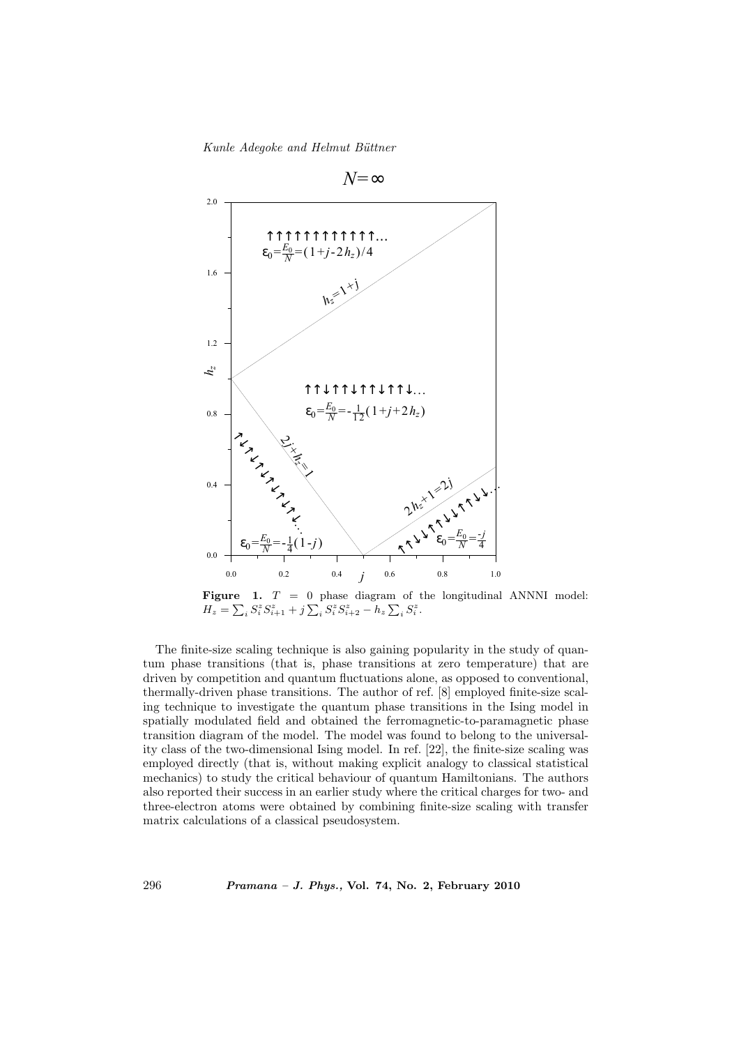

Figure 1.  $T = 0$  phase diagram of the longitudinal ANNNI model: **Figure 1.**  $I = 0$  phase diagram of  $H_z = \sum_i S_i^z S_{i+1}^z + j \sum_i S_i^z S_{i+2}^z - h_z \sum_i S_i^z$ .

The finite-size scaling technique is also gaining popularity in the study of quantum phase transitions (that is, phase transitions at zero temperature) that are driven by competition and quantum fluctuations alone, as opposed to conventional, thermally-driven phase transitions. The author of ref. [8] employed finite-size scaling technique to investigate the quantum phase transitions in the Ising model in spatially modulated field and obtained the ferromagnetic-to-paramagnetic phase transition diagram of the model. The model was found to belong to the universality class of the two-dimensional Ising model. In ref. [22], the finite-size scaling was employed directly (that is, without making explicit analogy to classical statistical mechanics) to study the critical behaviour of quantum Hamiltonians. The authors also reported their success in an earlier study where the critical charges for two- and three-electron atoms were obtained by combining finite-size scaling with transfer matrix calculations of a classical pseudosystem.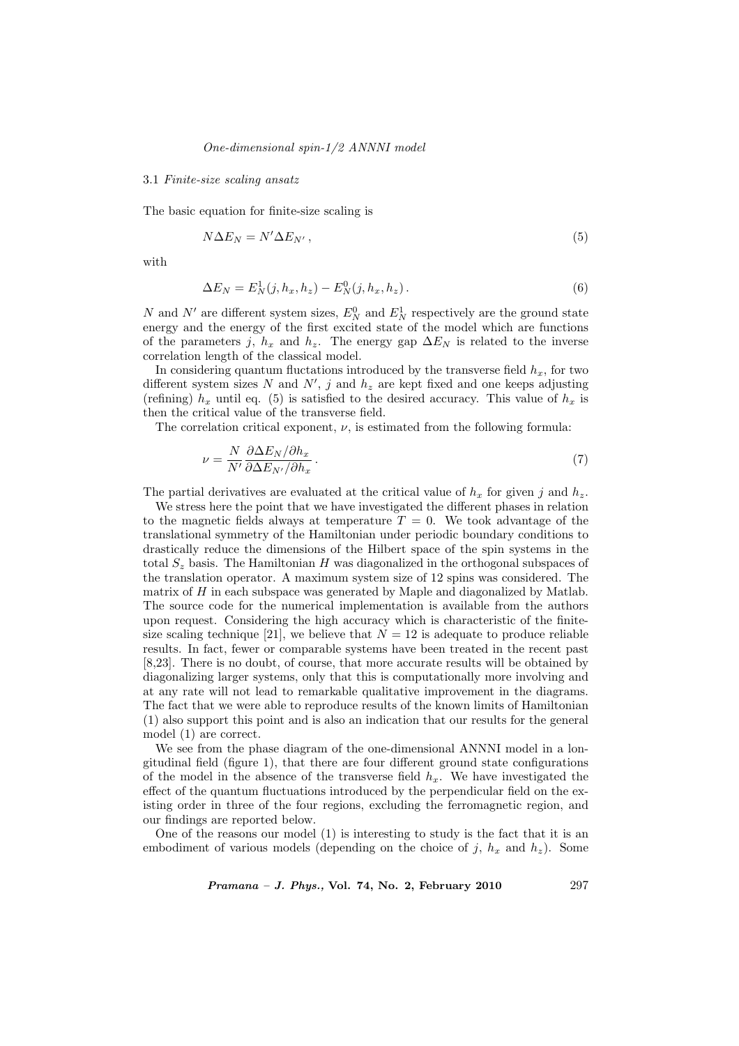# One-dimensional spin-1/2 ANNNI model

## 3.1 Finite-size scaling ansatz

The basic equation for finite-size scaling is

$$
N\Delta E_N = N'\Delta E_{N'},\tag{5}
$$

with

$$
\Delta E_N = E_N^1(j, h_x, h_z) - E_N^0(j, h_x, h_z).
$$
\n(6)

N and N' are different system sizes,  $E_N^0$  and  $E_N^1$  respectively are the ground state energy and the energy of the first excited state of the model which are functions of the parameters j,  $h_x$  and  $h_z$ . The energy gap  $\Delta E_N$  is related to the inverse correlation length of the classical model.

In considering quantum fluctations introduced by the transverse field  $h_x$ , for two different system sizes N and  $N'$ , j and  $h_z$  are kept fixed and one keeps adjusting (refining)  $h_x$  until eq. (5) is satisfied to the desired accuracy. This value of  $h_x$  is then the critical value of the transverse field.

The correlation critical exponent,  $\nu$ , is estimated from the following formula:

$$
\nu = \frac{N}{N'} \frac{\partial \Delta E_N / \partial h_x}{\partial \Delta E_{N'} / \partial h_x} \,. \tag{7}
$$

The partial derivatives are evaluated at the critical value of  $h_x$  for given j and  $h_z$ .

We stress here the point that we have investigated the different phases in relation to the magnetic fields always at temperature  $T = 0$ . We took advantage of the translational symmetry of the Hamiltonian under periodic boundary conditions to drastically reduce the dimensions of the Hilbert space of the spin systems in the total  $S<sub>z</sub>$  basis. The Hamiltonian H was diagonalized in the orthogonal subspaces of the translation operator. A maximum system size of 12 spins was considered. The matrix of  $H$  in each subspace was generated by Maple and diagonalized by Matlab. The source code for the numerical implementation is available from the authors upon request. Considering the high accuracy which is characteristic of the finitesize scaling technique [21], we believe that  $N = 12$  is adequate to produce reliable results. In fact, fewer or comparable systems have been treated in the recent past [8,23]. There is no doubt, of course, that more accurate results will be obtained by diagonalizing larger systems, only that this is computationally more involving and at any rate will not lead to remarkable qualitative improvement in the diagrams. The fact that we were able to reproduce results of the known limits of Hamiltonian (1) also support this point and is also an indication that our results for the general model (1) are correct.

We see from the phase diagram of the one-dimensional ANNNI model in a longitudinal field (figure 1), that there are four different ground state configurations of the model in the absence of the transverse field  $h<sub>x</sub>$ . We have investigated the effect of the quantum fluctuations introduced by the perpendicular field on the existing order in three of the four regions, excluding the ferromagnetic region, and our findings are reported below.

One of the reasons our model (1) is interesting to study is the fact that it is an embodiment of various models (depending on the choice of j,  $h_x$  and  $h_z$ ). Some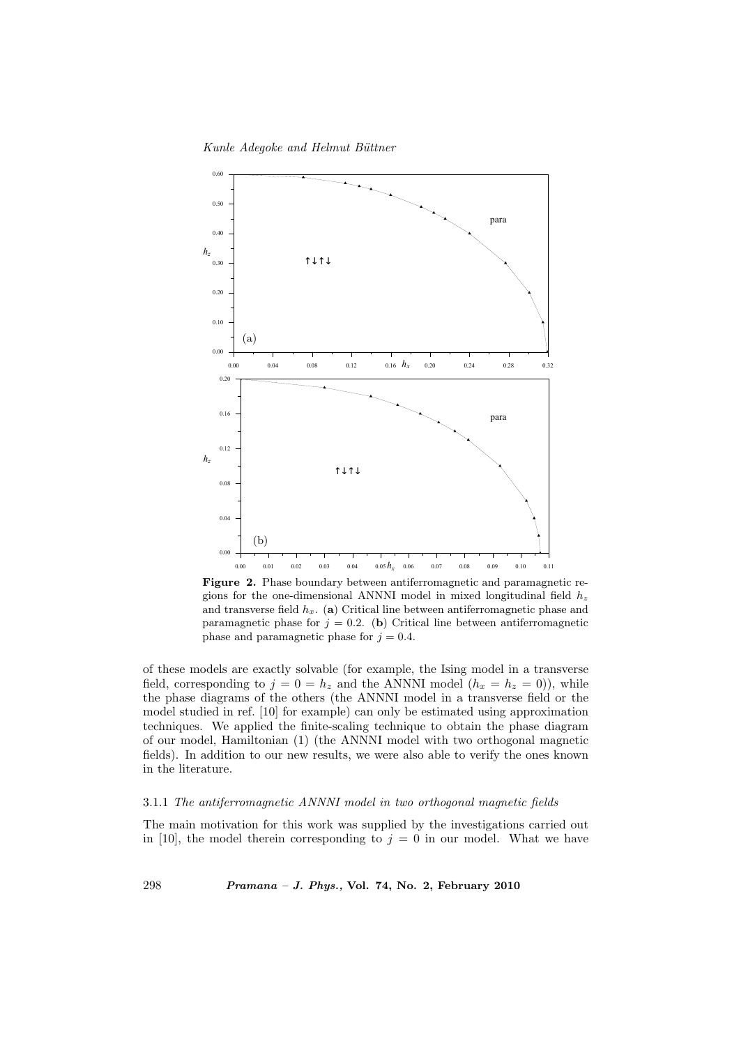

Figure 2. Phase boundary between antiferromagnetic and paramagnetic regions for the one-dimensional ANNNI model in mixed longitudinal field  $h_z$ and transverse field  $h_x$ . (a) Critical line between antiferromagnetic phase and paramagnetic phase for  $j = 0.2$ . (b) Critical line between antiferromagnetic phase and paramagnetic phase for  $j = 0.4$ .

of these models are exactly solvable (for example, the Ising model in a transverse field, corresponding to  $j = 0 = h_z$  and the ANNNI model  $(h_x = h_z = 0)$ , while the phase diagrams of the others (the ANNNI model in a transverse field or the model studied in ref. [10] for example) can only be estimated using approximation techniques. We applied the finite-scaling technique to obtain the phase diagram of our model, Hamiltonian (1) (the ANNNI model with two orthogonal magnetic fields). In addition to our new results, we were also able to verify the ones known in the literature.

# 3.1.1 The antiferromagnetic ANNNI model in two orthogonal magnetic fields

The main motivation for this work was supplied by the investigations carried out in [10], the model therein corresponding to  $j = 0$  in our model. What we have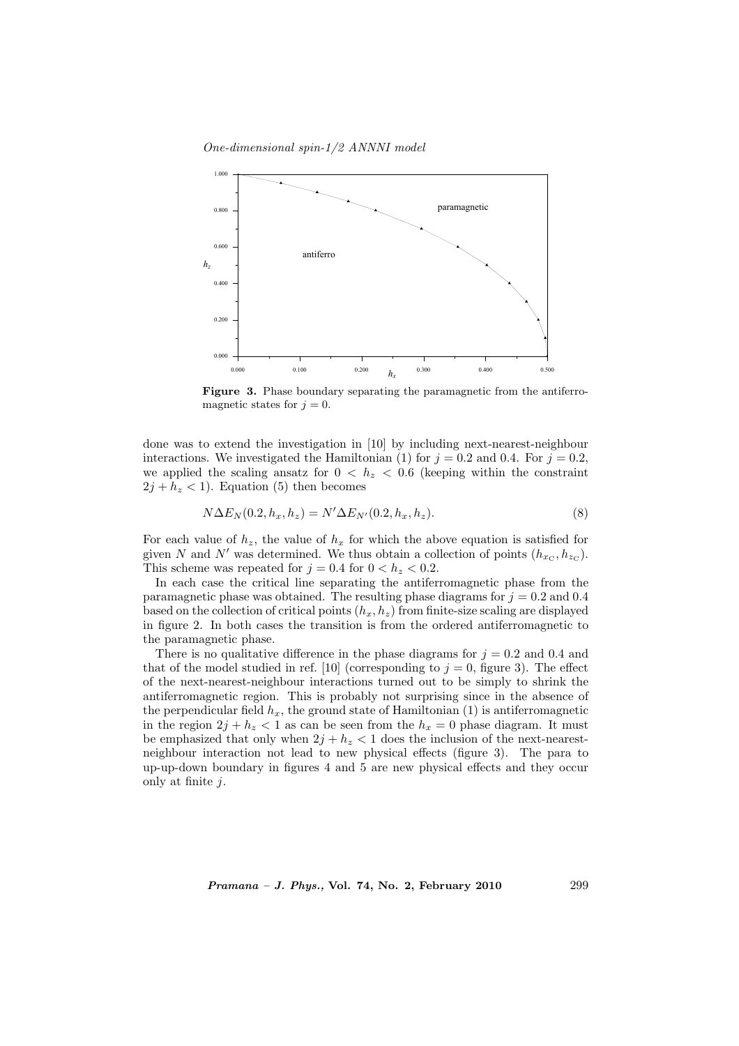One-dimensional spin-1/2 ANNNI model



Figure 3. Phase boundary separating the paramagnetic from the antiferromagnetic states for  $j = 0$ .

done was to extend the investigation in [10] by including next-nearest-neighbour interactions. We investigated the Hamiltonian (1) for  $j = 0.2$  and 0.4. For  $j = 0.2$ , we applied the scaling ansatz for  $0 < h<sub>z</sub> < 0.6$  (keeping within the constraint  $2j + h_z < 1$ ). Equation (5) then becomes

$$
N\Delta E_N(0.2, h_x, h_z) = N'\Delta E_{N'}(0.2, h_x, h_z).
$$
\n(8)

For each value of  $h_z$ , the value of  $h_x$  for which the above equation is satisfied for given N and N' was determined. We thus obtain a collection of points  $(h_{x_{\rm C}}, h_{z_{\rm C}})$ . This scheme was repeated for  $j = 0.4$  for  $0 < h<sub>z</sub> < 0.2$ .

In each case the critical line separating the antiferromagnetic phase from the paramagnetic phase was obtained. The resulting phase diagrams for  $j = 0.2$  and 0.4 based on the collection of critical points  $(h_x, h_z)$  from finite-size scaling are displayed in figure 2. In both cases the transition is from the ordered antiferromagnetic to the paramagnetic phase.

There is no qualitative difference in the phase diagrams for  $j = 0.2$  and 0.4 and that of the model studied in ref. [10] (corresponding to  $j = 0$ , figure 3). The effect of the next-nearest-neighbour interactions turned out to be simply to shrink the antiferromagnetic region. This is probably not surprising since in the absence of the perpendicular field  $h_x$ , the ground state of Hamiltonian (1) is antiferromagnetic in the region  $2j + h_z < 1$  as can be seen from the  $h_x = 0$  phase diagram. It must be emphasized that only when  $2j + h_z < 1$  does the inclusion of the next-nearestneighbour interaction not lead to new physical effects (figure 3). The para to up-up-down boundary in figures 4 and 5 are new physical effects and they occur only at finite  $i$ .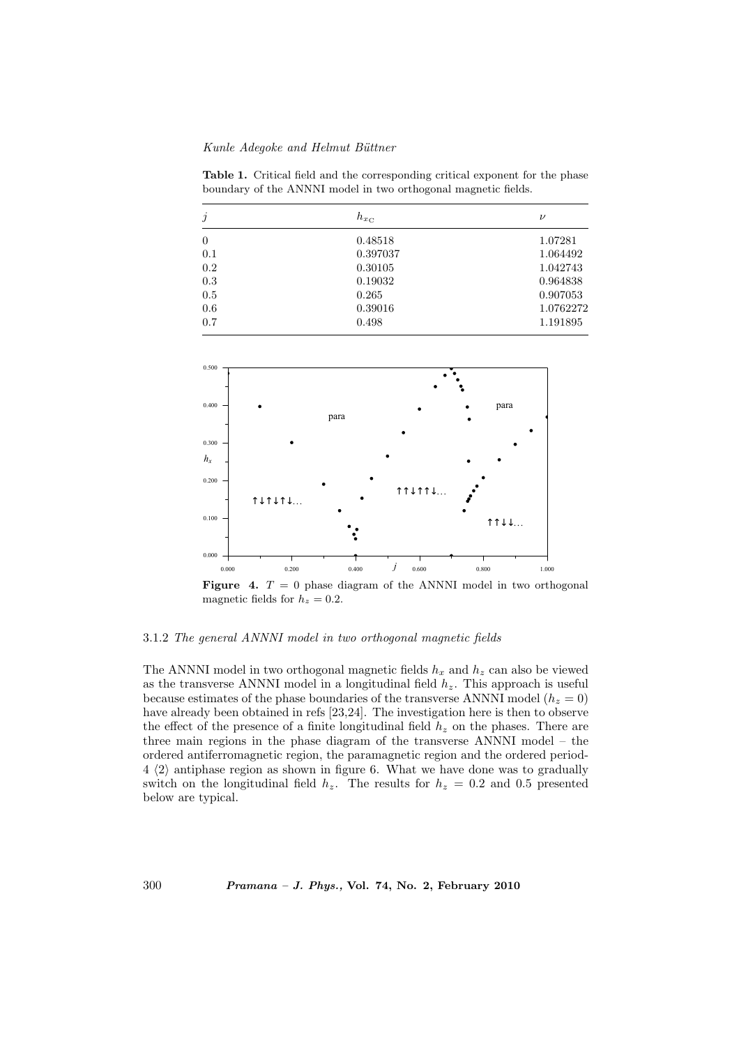Table 1. Critical field and the corresponding critical exponent for the phase boundary of the ANNNI model in two orthogonal magnetic fields.

| $\dot{j}$ | $h_{x_{\rm C}}$ | $\nu$     |
|-----------|-----------------|-----------|
| $\theta$  | 0.48518         | 1.07281   |
| 0.1       | 0.397037        | 1.064492  |
| 0.2       | 0.30105         | 1.042743  |
| 0.3       | 0.19032         | 0.964838  |
| 0.5       | 0.265           | 0.907053  |
| 0.6       | 0.39016         | 1.0762272 |
| 0.7       | 0.498           | 1.191895  |



**Figure 4.**  $T = 0$  phase diagram of the ANNNI model in two orthogonal magnetic fields for  $h_z = 0.2$ .

# 3.1.2 The general ANNNI model in two orthogonal magnetic fields

The ANNNI model in two orthogonal magnetic fields  $h_x$  and  $h_z$  can also be viewed as the transverse ANNNI model in a longitudinal field  $h<sub>z</sub>$ . This approach is useful because estimates of the phase boundaries of the transverse ANNNI model ( $h_z = 0$ ) have already been obtained in refs [23,24]. The investigation here is then to observe the effect of the presence of a finite longitudinal field  $h<sub>z</sub>$  on the phases. There are three main regions in the phase diagram of the transverse ANNNI model – the ordered antiferromagnetic region, the paramagnetic region and the ordered period- $4 \langle 2 \rangle$  antiphase region as shown in figure 6. What we have done was to gradually switch on the longitudinal field  $h_z$ . The results for  $h_z = 0.2$  and 0.5 presented below are typical.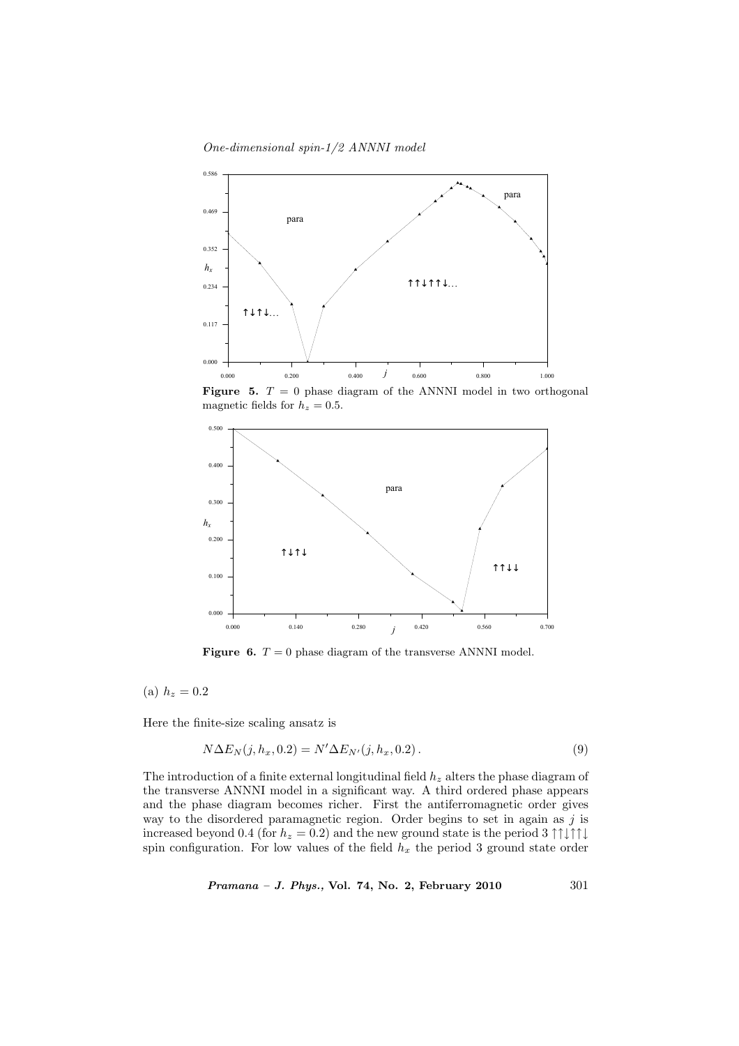One-dimensional spin-1/2 ANNNI model



**Figure 5.**  $T = 0$  phase diagram of the ANNNI model in two orthogonal magnetic fields for  $h_z = 0.5$ .



**Figure 6.**  $T = 0$  phase diagram of the transverse ANNNI model.

(a)  $h_z = 0.2$ 

Here the finite-size scaling ansatz is

$$
N\Delta E_N(j, h_x, 0.2) = N'\Delta E_{N'}(j, h_x, 0.2).
$$
\n(9)

The introduction of a finite external longitudinal field  $h_z$  alters the phase diagram of the transverse ANNNI model in a significant way. A third ordered phase appears and the phase diagram becomes richer. First the antiferromagnetic order gives way to the disordered paramagnetic region. Order begins to set in again as  $j$  is increased beyond 0.4 (for  $h_z = 0.2$ ) and the new ground state is the period 3 ↑↑↓↑↑↓ spin configuration. For low values of the field  $h_x$  the period 3 ground state order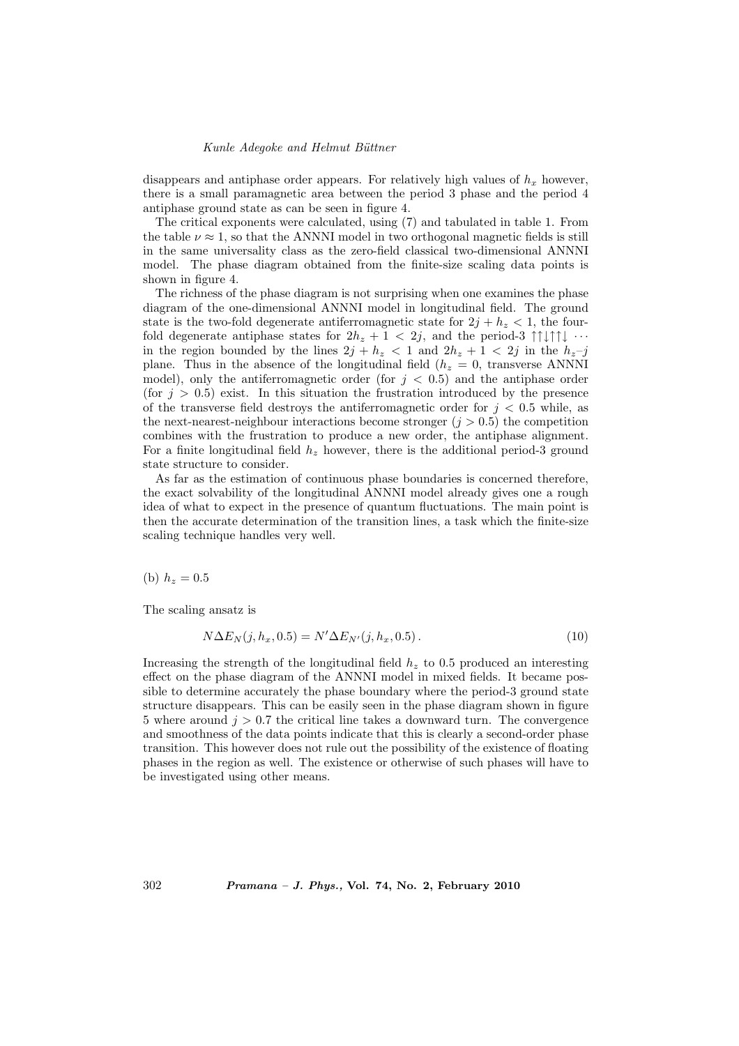disappears and antiphase order appears. For relatively high values of  $h_x$  however, there is a small paramagnetic area between the period 3 phase and the period 4 antiphase ground state as can be seen in figure 4.

The critical exponents were calculated, using (7) and tabulated in table 1. From the table  $\nu \approx 1$ , so that the ANNNI model in two orthogonal magnetic fields is still in the same universality class as the zero-field classical two-dimensional ANNNI model. The phase diagram obtained from the finite-size scaling data points is shown in figure 4.

The richness of the phase diagram is not surprising when one examines the phase diagram of the one-dimensional ANNNI model in longitudinal field. The ground state is the two-fold degenerate antiferromagnetic state for  $2j + h<sub>z</sub> < 1$ , the fourfold degenerate antiphase states for  $2h_z + 1 < 2j$ , and the period-3  $\uparrow \downarrow \uparrow \uparrow \downarrow \cdots$ in the region bounded by the lines  $2j + h_z < 1$  and  $2h_z + 1 < 2j$  in the  $h_z - j$ plane. Thus in the absence of the longitudinal field ( $h<sub>z</sub> = 0$ , transverse ANNNI model), only the antiferromagnetic order (for  $j < 0.5$ ) and the antiphase order (for  $j > 0.5$ ) exist. In this situation the frustration introduced by the presence of the transverse field destroys the antiferromagnetic order for  $j < 0.5$  while, as the next-nearest-neighbour interactions become stronger ( $j > 0.5$ ) the competition combines with the frustration to produce a new order, the antiphase alignment. For a finite longitudinal field  $h<sub>z</sub>$  however, there is the additional period-3 ground state structure to consider.

As far as the estimation of continuous phase boundaries is concerned therefore, the exact solvability of the longitudinal ANNNI model already gives one a rough idea of what to expect in the presence of quantum fluctuations. The main point is then the accurate determination of the transition lines, a task which the finite-size scaling technique handles very well.

(b)  $h_z = 0.5$ 

The scaling ansatz is

$$
N\Delta E_N(j, h_x, 0.5) = N'\Delta E_{N'}(j, h_x, 0.5).
$$
\n(10)

Increasing the strength of the longitudinal field  $h<sub>z</sub>$  to 0.5 produced an interesting effect on the phase diagram of the ANNNI model in mixed fields. It became possible to determine accurately the phase boundary where the period-3 ground state structure disappears. This can be easily seen in the phase diagram shown in figure 5 where around  $j > 0.7$  the critical line takes a downward turn. The convergence and smoothness of the data points indicate that this is clearly a second-order phase transition. This however does not rule out the possibility of the existence of floating phases in the region as well. The existence or otherwise of such phases will have to be investigated using other means.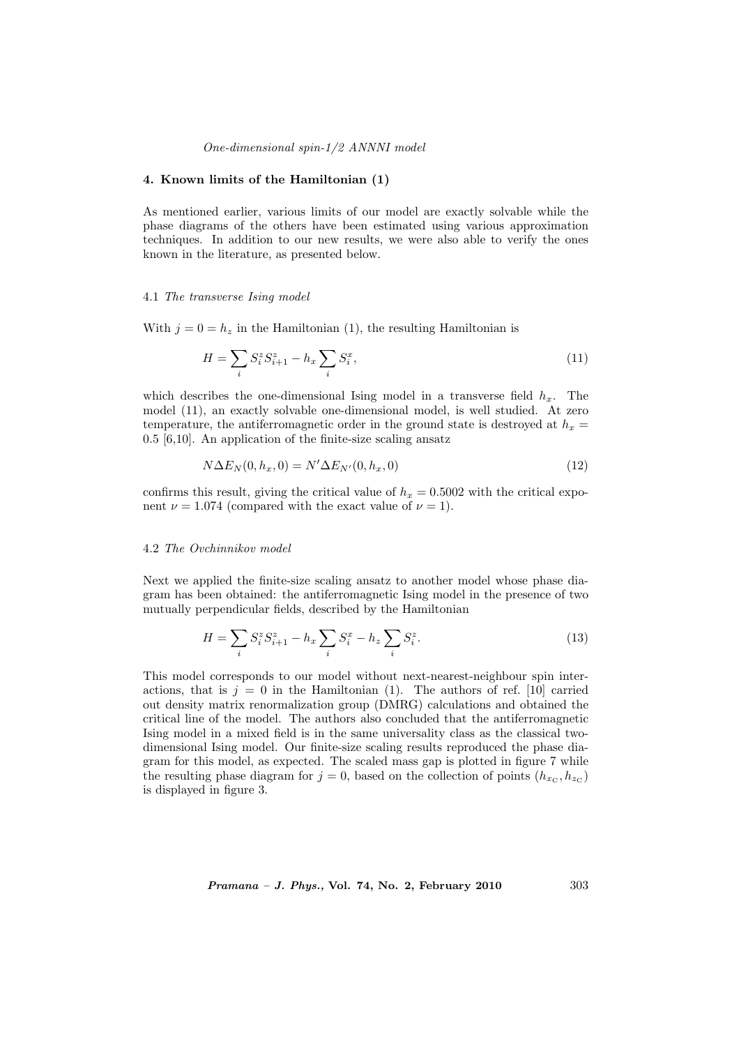## One-dimensional spin-1/2 ANNNI model

# 4. Known limits of the Hamiltonian (1)

As mentioned earlier, various limits of our model are exactly solvable while the phase diagrams of the others have been estimated using various approximation techniques. In addition to our new results, we were also able to verify the ones known in the literature, as presented below.

### 4.1 The transverse Ising model

With  $j = 0 = h_z$  in the Hamiltonian (1), the resulting Hamiltonian is

$$
H = \sum_{i} S_i^z S_{i+1}^z - h_x \sum_{i} S_i^x,
$$
\n(11)

which describes the one-dimensional Ising model in a transverse field  $h_x$ . The model (11), an exactly solvable one-dimensional model, is well studied. At zero temperature, the antiferromagnetic order in the ground state is destroyed at  $h_x =$ 0.5 [6,10]. An application of the finite-size scaling ansatz

$$
N\Delta E_N(0, h_x, 0) = N'\Delta E_{N'}(0, h_x, 0)
$$
\n(12)

confirms this result, giving the critical value of  $h_x = 0.5002$  with the critical exponent  $\nu = 1.074$  (compared with the exact value of  $\nu = 1$ ).

## 4.2 The Ovchinnikov model

Next we applied the finite-size scaling ansatz to another model whose phase diagram has been obtained: the antiferromagnetic Ising model in the presence of two mutually perpendicular fields, described by the Hamiltonian

$$
H = \sum_{i} S_i^z S_{i+1}^z - h_x \sum_{i} S_i^x - h_z \sum_{i} S_i^z.
$$
 (13)

This model corresponds to our model without next-nearest-neighbour spin interactions, that is  $j = 0$  in the Hamiltonian (1). The authors of ref. [10] carried out density matrix renormalization group (DMRG) calculations and obtained the critical line of the model. The authors also concluded that the antiferromagnetic Ising model in a mixed field is in the same universality class as the classical twodimensional Ising model. Our finite-size scaling results reproduced the phase diagram for this model, as expected. The scaled mass gap is plotted in figure 7 while the resulting phase diagram for  $j = 0$ , based on the collection of points  $(h_{x_C}, h_{z_C})$ is displayed in figure 3.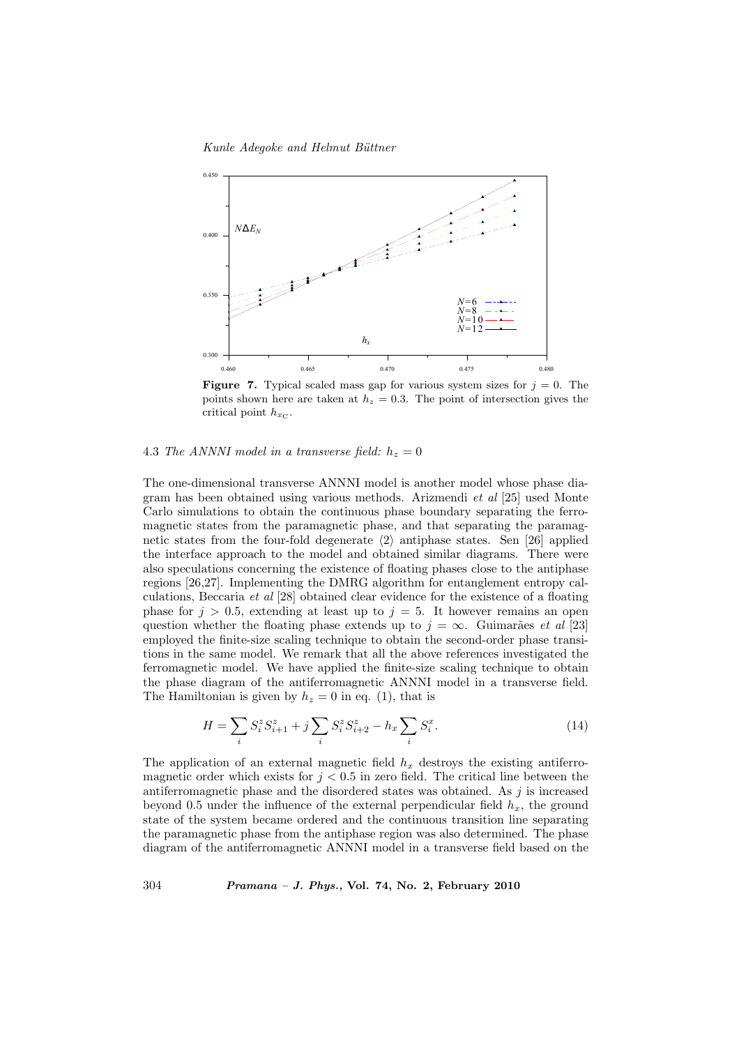Kunle Adegoke and Helmut Büttner



**Figure 7.** Typical scaled mass gap for various system sizes for  $j = 0$ . The points shown here are taken at  $h_z = 0.3$ . The point of intersection gives the critical point  $h_{x_{\text{C}}}$ .

## 4.3 The ANNNI model in a transverse field:  $h_z = 0$

The one-dimensional transverse ANNNI model is another model whose phase diagram has been obtained using various methods. Arizmendi et al [25] used Monte Carlo simulations to obtain the continuous phase boundary separating the ferromagnetic states from the paramagnetic phase, and that separating the paramagnetic states from the four-fold degenerate  $\langle 2 \rangle$  antiphase states. Sen [26] applied the interface approach to the model and obtained similar diagrams. There were also speculations concerning the existence of floating phases close to the antiphase regions [26,27]. Implementing the DMRG algorithm for entanglement entropy calculations, Beccaria et al [28] obtained clear evidence for the existence of a floating phase for  $j > 0.5$ , extending at least up to  $j = 5$ . It however remains an open question whether the floating phase extends up to  $j = \infty$ . Guimarães et al [23] employed the finite-size scaling technique to obtain the second-order phase transitions in the same model. We remark that all the above references investigated the ferromagnetic model. We have applied the finite-size scaling technique to obtain the phase diagram of the antiferromagnetic ANNNI model in a transverse field. The Hamiltonian is given by  $h_z = 0$  in eq. (1), that is

$$
H = \sum_{i} S_i^z S_{i+1}^z + j \sum_{i} S_i^z S_{i+2}^z - h_x \sum_{i} S_i^x.
$$
 (14)

The application of an external magnetic field  $h_x$  destroys the existing antiferromagnetic order which exists for  $j < 0.5$  in zero field. The critical line between the antiferromagnetic phase and the disordered states was obtained. As  $j$  is increased beyond 0.5 under the influence of the external perpendicular field  $h_x$ , the ground state of the system became ordered and the continuous transition line separating the paramagnetic phase from the antiphase region was also determined. The phase diagram of the antiferromagnetic ANNNI model in a transverse field based on the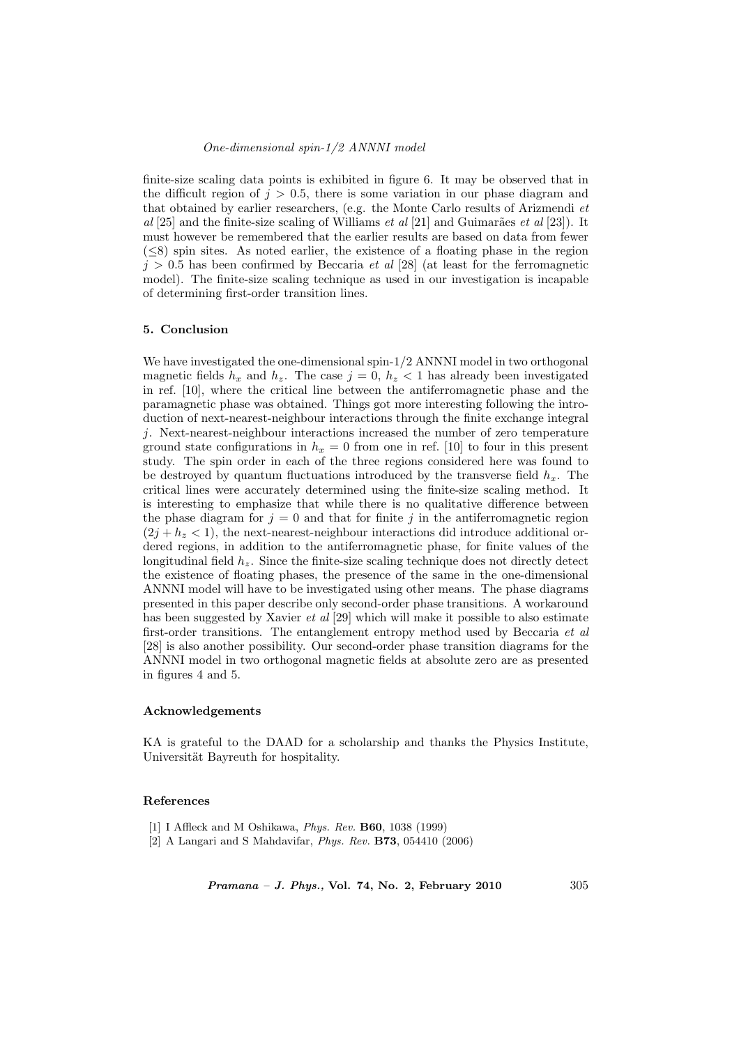finite-size scaling data points is exhibited in figure 6. It may be observed that in the difficult region of  $j > 0.5$ , there is some variation in our phase diagram and that obtained by earlier researchers, (e.g. the Monte Carlo results of Arizmendi et  $al$  [25] and the finite-size scaling of Williams *et al* [21] and Guimarães *et al* [23]). It must however be remembered that the earlier results are based on data from fewer  $(\leq 8)$  spin sites. As noted earlier, the existence of a floating phase in the region  $j > 0.5$  has been confirmed by Beccaria *et al* [28] (at least for the ferromagnetic model). The finite-size scaling technique as used in our investigation is incapable of determining first-order transition lines.

## 5. Conclusion

We have investigated the one-dimensional spin-1/2 ANNNI model in two orthogonal magnetic fields  $h_x$  and  $h_z$ . The case  $j = 0$ ,  $h_z < 1$  has already been investigated in ref. [10], where the critical line between the antiferromagnetic phase and the paramagnetic phase was obtained. Things got more interesting following the introduction of next-nearest-neighbour interactions through the finite exchange integral j. Next-nearest-neighbour interactions increased the number of zero temperature ground state configurations in  $h_x = 0$  from one in ref. [10] to four in this present study. The spin order in each of the three regions considered here was found to be destroyed by quantum fluctuations introduced by the transverse field  $h_x$ . The critical lines were accurately determined using the finite-size scaling method. It is interesting to emphasize that while there is no qualitative difference between the phase diagram for  $j = 0$  and that for finite j in the antiferromagnetic region  $(2j + h<sub>z</sub> < 1)$ , the next-nearest-neighbour interactions did introduce additional ordered regions, in addition to the antiferromagnetic phase, for finite values of the longitudinal field  $h_z$ . Since the finite-size scaling technique does not directly detect the existence of floating phases, the presence of the same in the one-dimensional ANNNI model will have to be investigated using other means. The phase diagrams presented in this paper describe only second-order phase transitions. A workaround has been suggested by Xavier et al [29] which will make it possible to also estimate first-order transitions. The entanglement entropy method used by Beccaria et al [28] is also another possibility. Our second-order phase transition diagrams for the ANNNI model in two orthogonal magnetic fields at absolute zero are as presented in figures 4 and 5.

## Acknowledgements

KA is grateful to the DAAD for a scholarship and thanks the Physics Institute, Universität Bayreuth for hospitality.

#### References

- [1] I Affleck and M Oshikawa, Phys. Rev. B60, 1038 (1999)
- [2] A Langari and S Mahdavifar, Phys. Rev. B73, 054410 (2006)